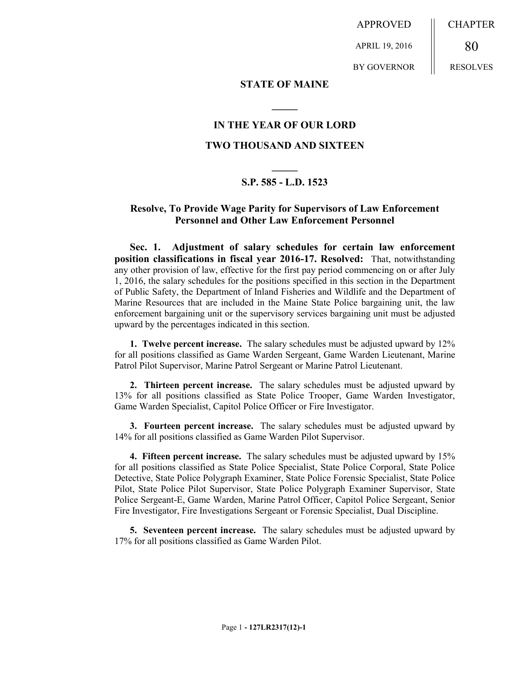APPROVED

APRIL 19, 2016

BY GOVERNOR

CHAPTER

RESOLVES

80

## **STATE OF MAINE**

**\_\_\_\_\_**

## **IN THE YEAR OF OUR LORD TWO THOUSAND AND SIXTEEN**

## **\_\_\_\_\_ S.P. 585 - L.D. 1523**

## **Resolve, To Provide Wage Parity for Supervisors of Law Enforcement Personnel and Other Law Enforcement Personnel**

**Sec. 1. Adjustment of salary schedules for certain law enforcement position classifications in fiscal year 2016-17. Resolved:** That, notwithstanding any other provision of law, effective for the first pay period commencing on or after July 1, 2016, the salary schedules for the positions specified in this section in the Department of Public Safety, the Department of Inland Fisheries and Wildlife and the Department of Marine Resources that are included in the Maine State Police bargaining unit, the law enforcement bargaining unit or the supervisory services bargaining unit must be adjusted upward by the percentages indicated in this section.

**1. Twelve percent increase.** The salary schedules must be adjusted upward by 12% for all positions classified as Game Warden Sergeant, Game Warden Lieutenant, Marine Patrol Pilot Supervisor, Marine Patrol Sergeant or Marine Patrol Lieutenant.

**2. Thirteen percent increase.** The salary schedules must be adjusted upward by 13% for all positions classified as State Police Trooper, Game Warden Investigator, Game Warden Specialist, Capitol Police Officer or Fire Investigator.

**3. Fourteen percent increase.** The salary schedules must be adjusted upward by 14% for all positions classified as Game Warden Pilot Supervisor.

**4. Fifteen percent increase.** The salary schedules must be adjusted upward by 15% for all positions classified as State Police Specialist, State Police Corporal, State Police Detective, State Police Polygraph Examiner, State Police Forensic Specialist, State Police Pilot, State Police Pilot Supervisor, State Police Polygraph Examiner Supervisor, State Police Sergeant-E, Game Warden, Marine Patrol Officer, Capitol Police Sergeant, Senior Fire Investigator, Fire Investigations Sergeant or Forensic Specialist, Dual Discipline.

**5. Seventeen percent increase.** The salary schedules must be adjusted upward by 17% for all positions classified as Game Warden Pilot.